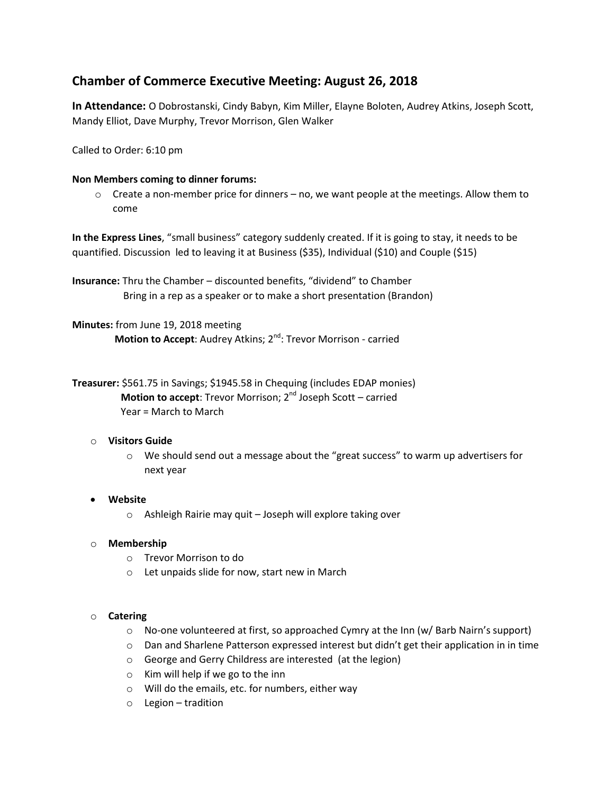# **Chamber of Commerce Executive Meeting: August 26, 2018**

**In Attendance:** O Dobrostanski, Cindy Babyn, Kim Miller, Elayne Boloten, Audrey Atkins, Joseph Scott, Mandy Elliot, Dave Murphy, Trevor Morrison, Glen Walker

Called to Order: 6:10 pm

#### **Non Members coming to dinner forums:**

 $\circ$  Create a non-member price for dinners – no, we want people at the meetings. Allow them to come

**In the Express Lines**, "small business" category suddenly created. If it is going to stay, it needs to be quantified. Discussion led to leaving it at Business (\$35), Individual (\$10) and Couple (\$15)

**Insurance:** Thru the Chamber – discounted benefits, "dividend" to Chamber Bring in a rep as a speaker or to make a short presentation (Brandon)

**Minutes:** from June 19, 2018 meeting **Motion to Accept:** Audrey Atkins; 2<sup>nd</sup>: Trevor Morrison - carried

**Treasurer:** \$561.75 in Savings; \$1945.58 in Chequing (includes EDAP monies) **Motion to accept**: Trevor Morrison; 2<sup>nd</sup> Joseph Scott – carried Year = March to March

# o **Visitors Guide**

 $\circ$  We should send out a message about the "great success" to warm up advertisers for next year

# **Website**

o Ashleigh Rairie may quit – Joseph will explore taking over

#### o **Membership**

- o Trevor Morrison to do
- o Let unpaids slide for now, start new in March

#### o **Catering**

- $\circ$  No-one volunteered at first, so approached Cymry at the Inn (w/ Barb Nairn's support)
- o Dan and Sharlene Patterson expressed interest but didn't get their application in in time
- o George and Gerry Childress are interested (at the legion)
- $\circ$  Kim will help if we go to the inn
- o Will do the emails, etc. for numbers, either way
- o Legion tradition